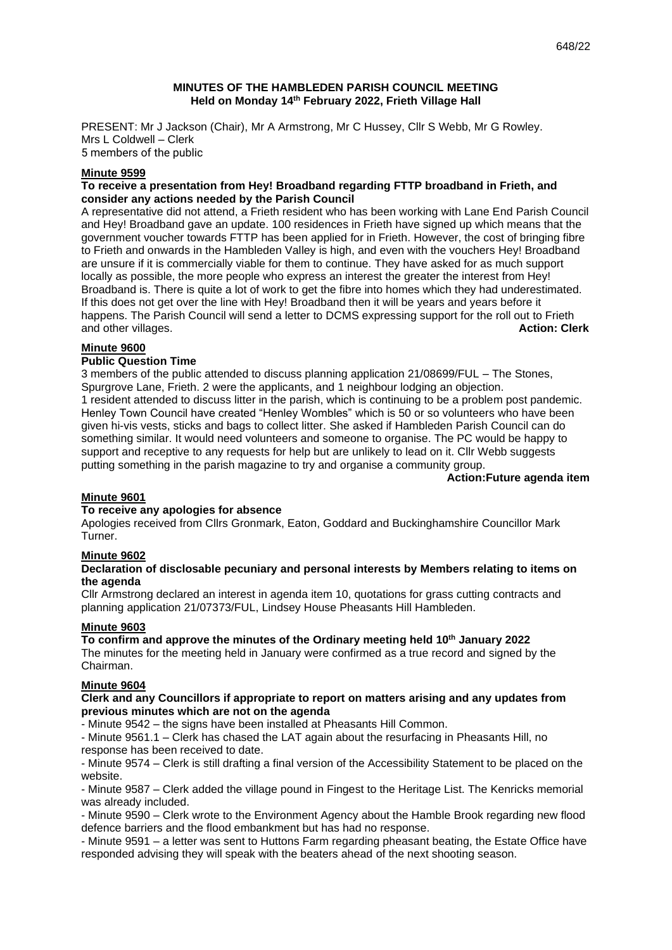## **MINUTES OF THE HAMBLEDEN PARISH COUNCIL MEETING Held on Monday 14 th February 2022, Frieth Village Hall**

PRESENT: Mr J Jackson (Chair), Mr A Armstrong, Mr C Hussey, Cllr S Webb, Mr G Rowley. Mrs L Coldwell – Clerk 5 members of the public

# **Minute 9599**

## **To receive a presentation from Hey! Broadband regarding FTTP broadband in Frieth, and consider any actions needed by the Parish Council**

A representative did not attend, a Frieth resident who has been working with Lane End Parish Council and Hey! Broadband gave an update. 100 residences in Frieth have signed up which means that the government voucher towards FTTP has been applied for in Frieth. However, the cost of bringing fibre to Frieth and onwards in the Hambleden Valley is high, and even with the vouchers Hey! Broadband are unsure if it is commercially viable for them to continue. They have asked for as much support locally as possible, the more people who express an interest the greater the interest from Hey! Broadband is. There is quite a lot of work to get the fibre into homes which they had underestimated. If this does not get over the line with Hey! Broadband then it will be years and years before it happens. The Parish Council will send a letter to DCMS expressing support for the roll out to Frieth and other villages. **Action: Clerk**

## **Minute 9600**

## **Public Question Time**

3 members of the public attended to discuss planning application 21/08699/FUL – The Stones, Spurgrove Lane, Frieth. 2 were the applicants, and 1 neighbour lodging an objection. 1 resident attended to discuss litter in the parish, which is continuing to be a problem post pandemic. Henley Town Council have created "Henley Wombles" which is 50 or so volunteers who have been given hi-vis vests, sticks and bags to collect litter. She asked if Hambleden Parish Council can do something similar. It would need volunteers and someone to organise. The PC would be happy to support and receptive to any requests for help but are unlikely to lead on it. Cllr Webb suggests putting something in the parish magazine to try and organise a community group.

**Action:Future agenda item**

## **Minute 9601**

## **To receive any apologies for absence**

Apologies received from Cllrs Gronmark, Eaton, Goddard and Buckinghamshire Councillor Mark Turner.

## **Minute 9602**

## **Declaration of disclosable pecuniary and personal interests by Members relating to items on the agenda**

Cllr Armstrong declared an interest in agenda item 10, quotations for grass cutting contracts and planning application 21/07373/FUL, Lindsey House Pheasants Hill Hambleden.

# **Minute 9603**

# **To confirm and approve the minutes of the Ordinary meeting held 10th January 2022**

The minutes for the meeting held in January were confirmed as a true record and signed by the Chairman.

## **Minute 9604**

## **Clerk and any Councillors if appropriate to report on matters arising and any updates from previous minutes which are not on the agenda**

- Minute 9542 – the signs have been installed at Pheasants Hill Common.

- Minute 9561.1 – Clerk has chased the LAT again about the resurfacing in Pheasants Hill, no response has been received to date.

- Minute 9574 – Clerk is still drafting a final version of the Accessibility Statement to be placed on the website.

- Minute 9587 – Clerk added the village pound in Fingest to the Heritage List. The Kenricks memorial was already included.

- Minute 9590 – Clerk wrote to the Environment Agency about the Hamble Brook regarding new flood defence barriers and the flood embankment but has had no response.

- Minute 9591 – a letter was sent to Huttons Farm regarding pheasant beating, the Estate Office have responded advising they will speak with the beaters ahead of the next shooting season.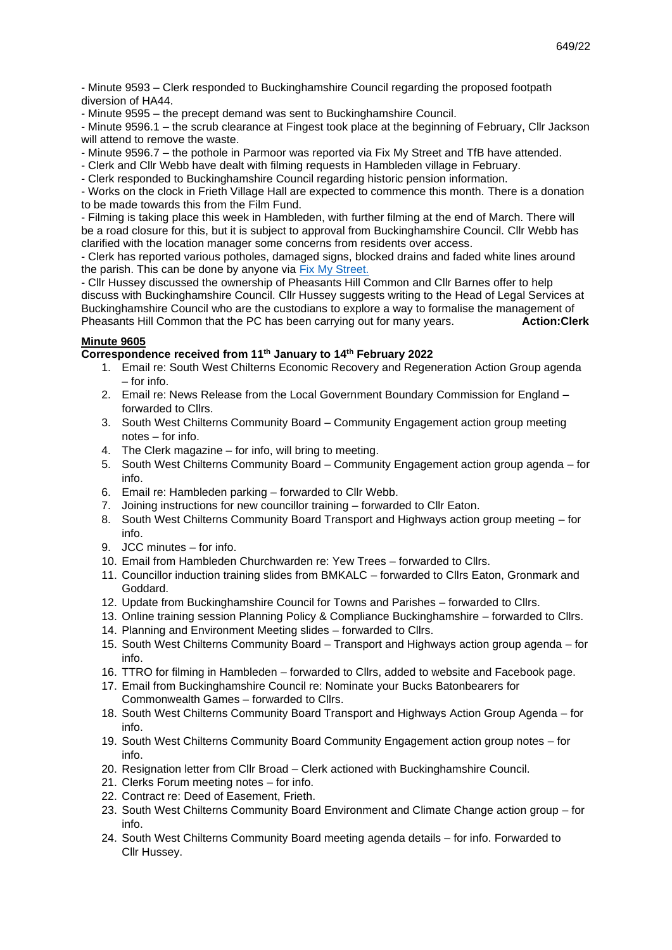- Minute 9593 – Clerk responded to Buckinghamshire Council regarding the proposed footpath diversion of HA44.

- Minute 9595 – the precept demand was sent to Buckinghamshire Council.

- Minute 9596.1 – the scrub clearance at Fingest took place at the beginning of February, Cllr Jackson will attend to remove the waste.

- Minute 9596.7 the pothole in Parmoor was reported via Fix My Street and TfB have attended.
- Clerk and Cllr Webb have dealt with filming requests in Hambleden village in February.
- Clerk responded to Buckinghamshire Council regarding historic pension information.

- Works on the clock in Frieth Village Hall are expected to commence this month. There is a donation to be made towards this from the Film Fund.

- Filming is taking place this week in Hambleden, with further filming at the end of March. There will be a road closure for this, but it is subject to approval from Buckinghamshire Council. Cllr Webb has clarified with the location manager some concerns from residents over access.

- Clerk has reported various potholes, damaged signs, blocked drains and faded white lines around the parish. This can be done by anyone via [Fix My Street.](https://www.fixmystreet.com/)

- Cllr Hussey discussed the ownership of Pheasants Hill Common and Cllr Barnes offer to help discuss with Buckinghamshire Council. Cllr Hussey suggests writing to the Head of Legal Services at Buckinghamshire Council who are the custodians to explore a way to formalise the management of Pheasants Hill Common that the PC has been carrying out for many years. **Action:Clerk** 

# **Minute 9605**

# **Correspondence received from 11th January to 14th February 2022**

- 1. Email re: South West Chilterns Economic Recovery and Regeneration Action Group agenda – for info.
- 2. Email re: News Release from the Local Government Boundary Commission for England forwarded to Cllrs.
- 3. South West Chilterns Community Board Community Engagement action group meeting notes – for info.
- 4. The Clerk magazine for info, will bring to meeting.
- 5. South West Chilterns Community Board Community Engagement action group agenda for info.
- 6. Email re: Hambleden parking forwarded to Cllr Webb.
- 7. Joining instructions for new councillor training forwarded to Cllr Eaton.
- 8. South West Chilterns Community Board Transport and Highways action group meeting for info.
- 9. JCC minutes for info.
- 10. Email from Hambleden Churchwarden re: Yew Trees forwarded to Cllrs.
- 11. Councillor induction training slides from BMKALC forwarded to Cllrs Eaton, Gronmark and Goddard.
- 12. Update from Buckinghamshire Council for Towns and Parishes forwarded to Cllrs.
- 13. Online training session Planning Policy & Compliance Buckinghamshire forwarded to Cllrs.
- 14. Planning and Environment Meeting slides forwarded to Cllrs.
- 15. South West Chilterns Community Board Transport and Highways action group agenda for info.
- 16. TTRO for filming in Hambleden forwarded to Cllrs, added to website and Facebook page.
- 17. Email from Buckinghamshire Council re: Nominate your Bucks Batonbearers for Commonwealth Games – forwarded to Cllrs.
- 18. South West Chilterns Community Board Transport and Highways Action Group Agenda for info.
- 19. South West Chilterns Community Board Community Engagement action group notes for info.
- 20. Resignation letter from Cllr Broad Clerk actioned with Buckinghamshire Council.
- 21. Clerks Forum meeting notes for info.
- 22. Contract re: Deed of Easement, Frieth.
- 23. South West Chilterns Community Board Environment and Climate Change action group for info.
- 24. South West Chilterns Community Board meeting agenda details for info. Forwarded to Cllr Hussey.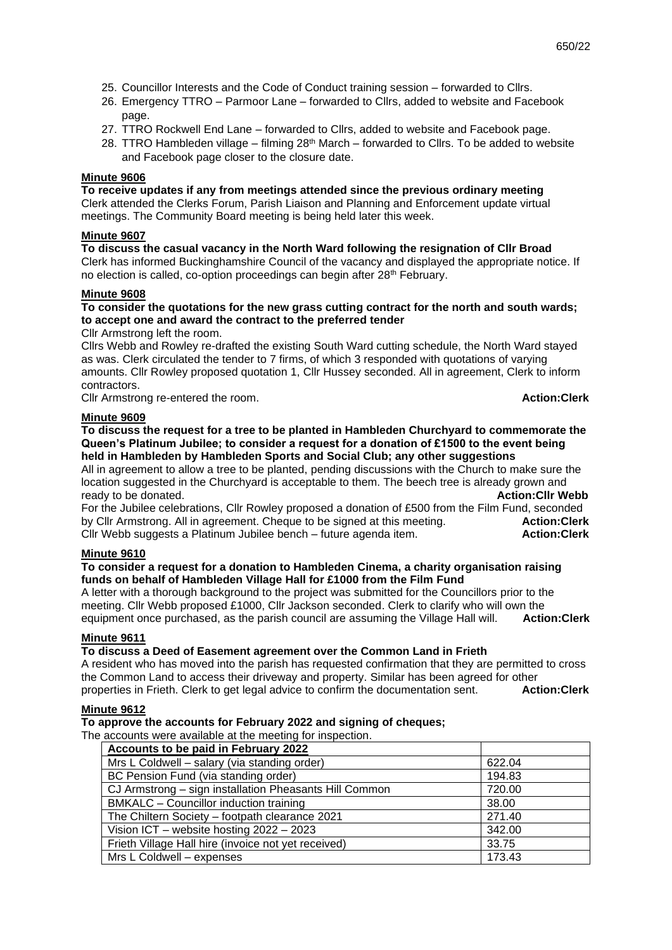- 25. Councillor Interests and the Code of Conduct training session forwarded to Cllrs.
- 26. Emergency TTRO Parmoor Lane forwarded to Cllrs, added to website and Facebook page.
- 27. TTRO Rockwell End Lane forwarded to Cllrs, added to website and Facebook page.
- 28. TTRO Hambleden village filming  $28<sup>th</sup>$  March forwarded to Cllrs. To be added to website and Facebook page closer to the closure date.

# **Minute 9606**

**To receive updates if any from meetings attended since the previous ordinary meeting** Clerk attended the Clerks Forum, Parish Liaison and Planning and Enforcement update virtual meetings. The Community Board meeting is being held later this week.

# **Minute 9607**

**To discuss the casual vacancy in the North Ward following the resignation of Cllr Broad** Clerk has informed Buckinghamshire Council of the vacancy and displayed the appropriate notice. If no election is called, co-option proceedings can begin after 28<sup>th</sup> February.

# **Minute 9608**

# **To consider the quotations for the new grass cutting contract for the north and south wards; to accept one and award the contract to the preferred tender**

Cllr Armstrong left the room.

Cllrs Webb and Rowley re-drafted the existing South Ward cutting schedule, the North Ward stayed as was. Clerk circulated the tender to 7 firms, of which 3 responded with quotations of varying amounts. Cllr Rowley proposed quotation 1, Cllr Hussey seconded. All in agreement, Clerk to inform contractors.

Cllr Armstrong re-entered the room. **Action:Clerk**

## **Minute 9609**

**To discuss the request for a tree to be planted in Hambleden Churchyard to commemorate the Queen's Platinum Jubilee; to consider a request for a donation of £1500 to the event being held in Hambleden by Hambleden Sports and Social Club; any other suggestions**

All in agreement to allow a tree to be planted, pending discussions with the Church to make sure the location suggested in the Churchyard is acceptable to them. The beech tree is already grown and ready to be donated. **Action:Cllr Webb**

For the Jubilee celebrations, Cllr Rowley proposed a donation of £500 from the Film Fund, seconded by Cllr Armstrong. All in agreement. Cheque to be signed at this meeting. **Action:Clerk** Cllr Webb suggests a Platinum Jubilee bench – future agenda item. **Action:Clerk**

# **Minute 9610**

## **To consider a request for a donation to Hambleden Cinema, a charity organisation raising funds on behalf of Hambleden Village Hall for £1000 from the Film Fund**

A letter with a thorough background to the project was submitted for the Councillors prior to the meeting. Cllr Webb proposed £1000, Cllr Jackson seconded. Clerk to clarify who will own the equipment once purchased, as the parish council are assuming the Village Hall will. **Action:Clerk**

## **Minute 9611**

# **To discuss a Deed of Easement agreement over the Common Land in Frieth**

A resident who has moved into the parish has requested confirmation that they are permitted to cross the Common Land to access their driveway and property. Similar has been agreed for other properties in Frieth. Clerk to get legal advice to confirm the documentation sent. **Action:Clerk**

## **Minute 9612**

## **To approve the accounts for February 2022 and signing of cheques;**

The accounts were available at the meeting for inspection.

| Accounts to be paid in February 2022                   |        |
|--------------------------------------------------------|--------|
| Mrs L Coldwell – salary (via standing order)           | 622.04 |
| BC Pension Fund (via standing order)                   | 194.83 |
| CJ Armstrong – sign installation Pheasants Hill Common | 720.00 |
| BMKALC - Councillor induction training                 | 38.00  |
| The Chiltern Society - footpath clearance 2021         | 271.40 |
| Vision ICT - website hosting 2022 - 2023               | 342.00 |
| Frieth Village Hall hire (invoice not yet received)    | 33.75  |
| Mrs L Coldwell - expenses                              | 173.43 |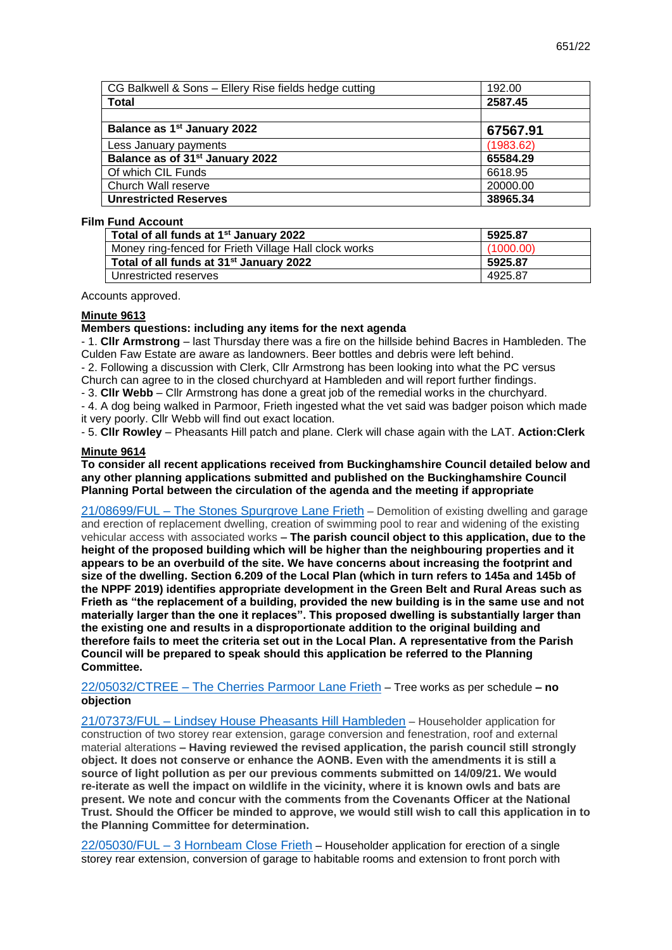| CG Balkwell & Sons - Ellery Rise fields hedge cutting | 192.00    |
|-------------------------------------------------------|-----------|
| <b>Total</b>                                          | 2587.45   |
|                                                       |           |
| Balance as 1 <sup>st</sup> January 2022               | 67567.91  |
| Less January payments                                 | (1983.62) |
| Balance as of 31 <sup>st</sup> January 2022           | 65584.29  |
| Of which CIL Funds                                    | 6618.95   |
| Church Wall reserve                                   | 20000.00  |
| <b>Unrestricted Reserves</b>                          | 38965.34  |

#### **Film Fund Account**

| Total of all funds at 1 <sup>st</sup> January 2022    | 5925.87   |
|-------------------------------------------------------|-----------|
| Money ring-fenced for Frieth Village Hall clock works | (1000.00) |
| Total of all funds at 31 <sup>st</sup> January 2022   | 5925.87   |
| Unrestricted reserves                                 | 4925.87   |

Accounts approved.

#### **Minute 9613**

#### **Members questions: including any items for the next agenda**

- 1. **Cllr Armstrong** – last Thursday there was a fire on the hillside behind Bacres in Hambleden. The Culden Faw Estate are aware as landowners. Beer bottles and debris were left behind.

- 2. Following a discussion with Clerk, Cllr Armstrong has been looking into what the PC versus Church can agree to in the closed churchyard at Hambleden and will report further findings.

- 3. **Cllr Webb** – Cllr Armstrong has done a great job of the remedial works in the churchyard.

- 4. A dog being walked in Parmoor, Frieth ingested what the vet said was badger poison which made it very poorly. Cllr Webb will find out exact location.

- 5. **Cllr Rowley** – Pheasants Hill patch and plane. Clerk will chase again with the LAT. **Action:Clerk**

# **Minute 9614**

**To consider all recent applications received from Buckinghamshire Council detailed below and any other planning applications submitted and published on the Buckinghamshire Council Planning Portal between the circulation of the agenda and the meeting if appropriate**

21/08699/FUL – [The Stones Spurgrove Lane Frieth](https://publicaccess.wycombe.gov.uk/idoxpa-web/applicationDetails.do?activeTab=documents&keyVal=R4ASSLSCLXH00) – Demolition of existing dwelling and garage and erection of replacement dwelling, creation of swimming pool to rear and widening of the existing vehicular access with associated works **– The parish council object to this application, due to the height of the proposed building which will be higher than the neighbouring properties and it appears to be an overbuild of the site. We have concerns about increasing the footprint and size of the dwelling. Section 6.209 of the Local Plan (which in turn refers to 145a and 145b of the NPPF 2019) identifies appropriate development in the Green Belt and Rural Areas such as Frieth as "the replacement of a building, provided the new building is in the same use and not materially larger than the one it replaces". This proposed dwelling is substantially larger than the existing one and results in a disproportionate addition to the original building and therefore fails to meet the criteria set out in the Local Plan. A representative from the Parish Council will be prepared to speak should this application be referred to the Planning Committee.**

# 22/05032/CTREE – [The Cherries Parmoor Lane Frieth](https://publicaccess.wycombe.gov.uk/idoxpa-web/applicationDetails.do?activeTab=documents&keyVal=R5BU54SCM9U00) – Tree works as per schedule **– no objection**

21/07373/FUL – [Lindsey House Pheasants Hill Hambleden](https://publicaccess.wycombe.gov.uk/idoxpa-web/applicationDetails.do?activeTab=documents&keyVal=QXCPYESCHYW00) – Householder application for construction of two storey rear extension, garage conversion and fenestration, roof and external material alterations **– Having reviewed the revised application, the parish council still strongly object. It does not conserve or enhance the AONB. Even with the amendments it is still a source of light pollution as per our previous comments submitted on 14/09/21. We would re-iterate as well the impact on wildlife in the vicinity, where it is known owls and bats are present. We note and concur with the comments from the Covenants Officer at the National Trust. Should the Officer be minded to approve, we would still wish to call this application in to the Planning Committee for determination.**

22/05030/FUL – [3 Hornbeam Close Frieth](https://publicaccess.wycombe.gov.uk/idoxpa-web/applicationDetails.do?activeTab=documents&keyVal=R5BU4QSCM9Q00) – Householder application for erection of a single storey rear extension, conversion of garage to habitable rooms and extension to front porch with